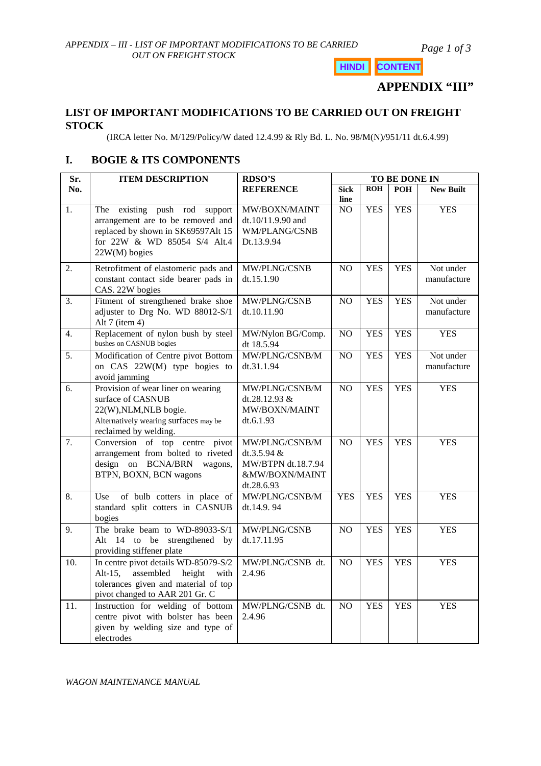*Page 1 of 3*

**HINDI CONTENT**

**APPENDIX "III"**

# **LIST OF IMPORTANT MODIFICATIONS TO BE CARRIED OUT ON FREIGHT STOCK**

(IRCA letter No. M/129/Policy/W dated 12.4.99 & Rly Bd. L. No. 98/M(N)/951/11 dt.6.4.99)

# **I. BOGIE & ITS COMPONENTS**

| Sr. | <b>ITEM DESCRIPTION</b>                                                                                                                                        | <b>RDSO'S</b>                                                                         | TO BE DONE IN       |            |            |                          |  |
|-----|----------------------------------------------------------------------------------------------------------------------------------------------------------------|---------------------------------------------------------------------------------------|---------------------|------------|------------|--------------------------|--|
| No. |                                                                                                                                                                | <b>REFERENCE</b>                                                                      | <b>Sick</b><br>line | <b>ROH</b> | <b>POH</b> | <b>New Built</b>         |  |
| 1.  | existing push rod support<br>The<br>arrangement are to be removed and<br>replaced by shown in SK69597Alt 15<br>for 22W & WD 85054 S/4 Alt.4<br>$22W(M)$ bogies | MW/BOXN/MAINT<br>dt.10/11.9.90 and<br>WM/PLANG/CSNB<br>Dt.13.9.94                     | NO                  | <b>YES</b> | <b>YES</b> | <b>YES</b>               |  |
| 2.  | Retrofitment of elastomeric pads and<br>constant contact side bearer pads in<br>CAS. 22W bogies                                                                | MW/PLNG/CSNB<br>dt.15.1.90                                                            | N <sub>O</sub>      | <b>YES</b> | <b>YES</b> | Not under<br>manufacture |  |
| 3.  | Fitment of strengthened brake shoe<br>adjuster to Drg No. WD 88012-S/1<br>Alt 7 (item 4)                                                                       | MW/PLNG/CSNB<br>dt.10.11.90                                                           | NO                  | <b>YES</b> | <b>YES</b> | Not under<br>manufacture |  |
| 4.  | Replacement of nylon bush by steel<br>bushes on CASNUB bogies                                                                                                  | MW/Nylon BG/Comp.<br>dt 18.5.94                                                       | NO                  | <b>YES</b> | <b>YES</b> | <b>YES</b>               |  |
| 5.  | Modification of Centre pivot Bottom<br>on CAS 22W(M) type bogies to<br>avoid jamming                                                                           | MW/PLNG/CSNB/M<br>dt.31.1.94                                                          | NO.                 | <b>YES</b> | <b>YES</b> | Not under<br>manufacture |  |
| 6.  | Provision of wear liner on wearing<br>surface of CASNUB<br>22(W), NLM, NLB bogie.<br>Alternatively wearing surfaces may be<br>reclaimed by welding.            | MW/PLNG/CSNB/M<br>dt.28.12.93 $&$<br>MW/BOXN/MAINT<br>dt.6.1.93                       | NO                  | <b>YES</b> | <b>YES</b> | <b>YES</b>               |  |
| 7.  | Conversion of top centre pivot<br>arrangement from bolted to riveted<br>design on BCNA/BRN<br>wagons,<br>BTPN, BOXN, BCN wagons                                | MW/PLNG/CSNB/M<br>dt.3.5.94 $&$<br>MW/BTPN dt.18.7.94<br>&MW/BOXN/MAINT<br>dt.28.6.93 | N <sub>O</sub>      | <b>YES</b> | <b>YES</b> | <b>YES</b>               |  |
| 8.  | of bulb cotters in place of<br>Use<br>standard split cotters in CASNUB<br>bogies                                                                               | MW/PLNG/CSNB/M<br>dt.14.9.94                                                          | <b>YES</b>          | <b>YES</b> | <b>YES</b> | <b>YES</b>               |  |
| 9.  | The brake beam to WD-89033-S/1<br>Alt 14 to be<br>strengthened by<br>providing stiffener plate                                                                 | MW/PLNG/CSNB<br>dt.17.11.95                                                           | NO                  | <b>YES</b> | <b>YES</b> | <b>YES</b>               |  |
| 10. | In centre pivot details WD-85079-S/2<br>assembled<br>height<br>Alt-15,<br>with<br>tolerances given and material of top<br>pivot changed to AAR 201 Gr. C       | MW/PLNG/CSNB dt.<br>2.4.96                                                            | N <sub>O</sub>      | <b>YES</b> | <b>YES</b> | <b>YES</b>               |  |
| 11. | Instruction for welding of bottom<br>centre pivot with bolster has been<br>given by welding size and type of<br>electrodes                                     | MW/PLNG/CSNB dt.<br>2.4.96                                                            | N <sub>O</sub>      | <b>YES</b> | <b>YES</b> | <b>YES</b>               |  |

*WAGON MAINTENANCE MANUAL*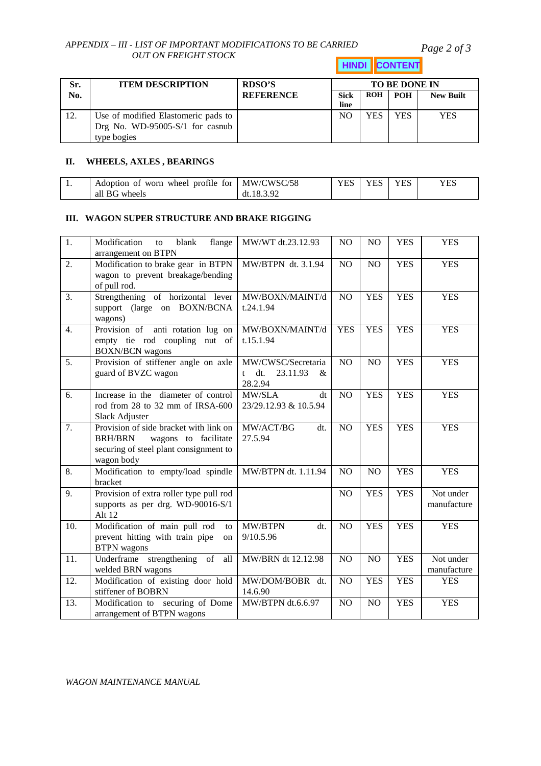### *APPENDIX – III - LIST OF IMPORTANT MODIFICATIONS TO BE CARRIED OUT ON FREIGHT STOCK*

*Page 2 of 3*

**HINDI CONTENT**

| Sr. | <b>ITEM DESCRIPTION</b>                                                               | RDSO'S           | <b>TO BE DONE IN</b> |            |            |                  |  |
|-----|---------------------------------------------------------------------------------------|------------------|----------------------|------------|------------|------------------|--|
| No. |                                                                                       | <b>REFERENCE</b> | <b>Sick</b><br>line  | <b>ROH</b> | <b>POH</b> | <b>New Built</b> |  |
| 12. | Use of modified Elastomeric pads to<br>Drg No. WD-95005-S/1 for casnub<br>type bogies |                  | NC                   | <b>YES</b> | <b>YES</b> | YES              |  |

### **II. WHEELS, AXLES , BEARINGS**

| . . | Adoption of worn wheel profile for   MW/CWSC/58 |                      | <b>VES</b> | <b>VFS</b> | <b>YFS</b> | YES |
|-----|-------------------------------------------------|----------------------|------------|------------|------------|-----|
|     | all BG wheels                                   | 18.3.92<br>$dt_{11}$ |            |            |            |     |

#### **III. WAGON SUPER STRUCTURE AND BRAKE RIGGING**

| 1.  | Modification<br>flange<br>blank<br>to<br>arrangement on BTPN                                                                             | MW/WT dt.23.12.93                                                     | NO             | N <sub>O</sub> | <b>YES</b> | <b>YES</b>               |
|-----|------------------------------------------------------------------------------------------------------------------------------------------|-----------------------------------------------------------------------|----------------|----------------|------------|--------------------------|
| 2.  | Modification to brake gear in BTPN<br>wagon to prevent breakage/bending<br>of pull rod.                                                  | MW/BTPN dt. 3.1.94                                                    | NO             | NO             | <b>YES</b> | <b>YES</b>               |
| 3.  | Strengthening of horizontal lever<br>support (large on BOXN/BCNA<br>wagons)                                                              | MW/BOXN/MAINT/d<br>t.24.1.94                                          | NO             | <b>YES</b>     | <b>YES</b> | <b>YES</b>               |
| 4.  | Provision of anti rotation lug on<br>empty tie rod coupling nut of<br><b>BOXN/BCN</b> wagons                                             | MW/BOXN/MAINT/d<br>t.15.1.94                                          | <b>YES</b>     | <b>YES</b>     | <b>YES</b> | <b>YES</b>               |
| 5.  | Provision of stiffener angle on axle<br>guard of BVZC wagon                                                                              | MW/CWSC/Secretaria<br>dt.<br>23.11.93<br>&<br>$^{\dagger}$<br>28.2.94 | NO             | NO             | <b>YES</b> | <b>YES</b>               |
| 6.  | Increase in the diameter of control<br>rod from 28 to 32 mm of IRSA-600<br>Slack Adjuster                                                | MW/SLA<br>dt<br>23/29.12.93 & 10.5.94                                 | NO             | <b>YES</b>     | <b>YES</b> | <b>YES</b>               |
| 7.  | Provision of side bracket with link on<br><b>BRH/BRN</b><br>wagons to facilitate<br>securing of steel plant consignment to<br>wagon body | MW/ACT/BG<br>dt.<br>27.5.94                                           | NO             | <b>YES</b>     | <b>YES</b> | <b>YES</b>               |
| 8.  | Modification to empty/load spindle<br>bracket                                                                                            | MW/BTPN dt. 1.11.94                                                   | N <sub>O</sub> | N <sub>O</sub> | <b>YES</b> | <b>YES</b>               |
| 9.  | Provision of extra roller type pull rod<br>supports as per drg. WD-90016-S/1<br>Alt 12                                                   |                                                                       | NO             | <b>YES</b>     | <b>YES</b> | Not under<br>manufacture |
| 10. | Modification of main pull rod<br>to<br>prevent hitting with train pipe<br>on<br><b>BTPN</b> wagons                                       | MW/BTPN<br>dt.<br>9/10.5.96                                           | NO             | <b>YES</b>     | <b>YES</b> | <b>YES</b>               |
| 11. | Underframe strengthening of<br>all<br>welded BRN wagons                                                                                  | MW/BRN dt 12.12.98                                                    | NO             | N <sub>O</sub> | <b>YES</b> | Not under<br>manufacture |
| 12. | Modification of existing door hold<br>stiffener of BOBRN                                                                                 | MW/DOM/BOBR dt.<br>14.6.90                                            | NO             | <b>YES</b>     | <b>YES</b> | <b>YES</b>               |
| 13. | Modification to securing of Dome<br>arrangement of BTPN wagons                                                                           | MW/BTPN dt.6.6.97                                                     | NO             | NO             | <b>YES</b> | <b>YES</b>               |

*WAGON MAINTENANCE MANUAL*